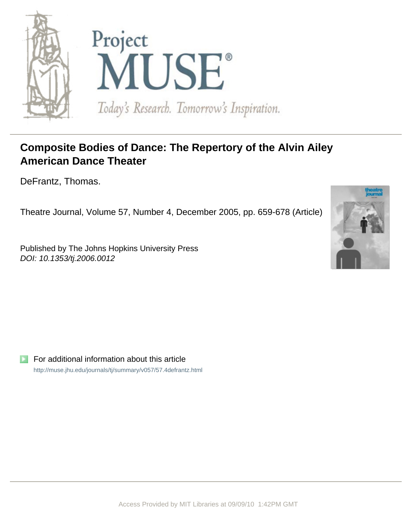

# **Composite Bodies of Dance: The Repertory of the Alvin Ailey American Dance Theater**

DeFrantz, Thomas.

Theatre Journal, Volume 57, Number 4, December 2005, pp. 659-678 (Article)

Published by The Johns Hopkins University Press DOI: 10.1353/tj.2006.0012



For additional information about this article <http://muse.jhu.edu/journals/tj/summary/v057/57.4defrantz.html>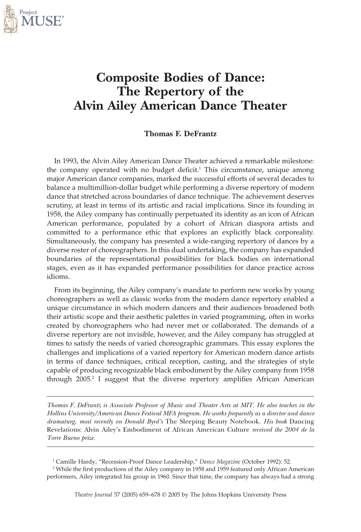

## **Composite Bodies of Dance: The Repertory of the Alvin Ailey American Dance Theater**

## **Thomas F. DeFrantz**

In 1993, the Alvin Ailey American Dance Theater achieved a remarkable milestone: the company operated with no budget deficit.<sup>1</sup> This circumstance, unique among major American dance companies, marked the successful efforts of several decades to balance a multimillion-dollar budget while performing a diverse repertory of modern dance that stretched across boundaries of dance technique. The achievement deserves scrutiny, at least in terms of its artistic and racial implications. Since its founding in 1958, the Ailey company has continually perpetuated its identity as an icon of African American performance, populated by a cohort of African diaspora artists and committed to a performance ethic that explores an explicitly black corporeality. Simultaneously, the company has presented a wide-ranging repertory of dances by a diverse roster of choreographers. In this dual undertaking, the company has expanded boundaries of the representational possibilities for black bodies on international stages, even as it has expanded performance possibilities for dance practice across idioms.

From its beginning, the Ailey company's mandate to perform new works by young choreographers as well as classic works from the modern dance repertory enabled a unique circumstance in which modern dancers and their audiences broadened both their artistic scope and their aesthetic palettes in varied programming, often in works created by choreographers who had never met or collaborated. The demands of a diverse repertory are not invisible, however, and the Ailey company has struggled at times to satisfy the needs of varied choreographic grammars. This essay explores the challenges and implications of a varied repertory for American modern dance artists in terms of dance techniques, critical reception, casting, and the strategies of style capable of producing recognizable black embodiment by the Ailey company from 1958 through 2005.2 I suggest that the diverse repertory amplifies African American

*Thomas F. DeFrantz is Associate Professor of Music and Theater Arts at MIT. He also teaches in the Hollins University/American Dance Festival MFA program. He works frequently as a director and dance dramaturg, most recently on Donald Byrd's* The Sleeping Beauty Notebook*. His book* Dancing Revelations: Alvin Ailey's Embodiment of African American Culture *received the 2004 de la Torre Bueno prize.*

<sup>1</sup> Camille Hardy, "Recession-Proof Dance Leadership," *Dance Magazine* (October 1992): 52.

<sup>2</sup> While the first productions of the Ailey company in 1958 and 1959 featured only African American performers, Ailey integrated his group in 1960. Since that time, the company has always had a strong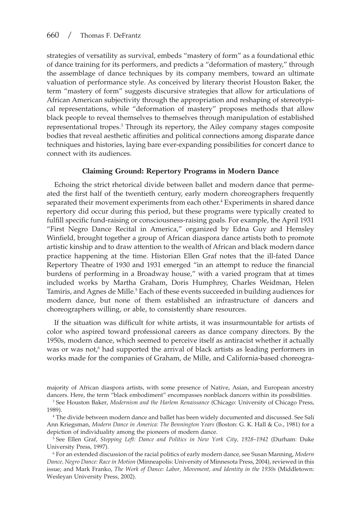strategies of versatility as survival, embeds "mastery of form" as a foundational ethic of dance training for its performers, and predicts a "deformation of mastery," through the assemblage of dance techniques by its company members, toward an ultimate valuation of performance style. As conceived by literary theorist Houston Baker, the term "mastery of form" suggests discursive strategies that allow for articulations of African American subjectivity through the appropriation and reshaping of stereotypical representations, while "deformation of mastery" proposes methods that allow black people to reveal themselves to themselves through manipulation of established representational tropes.3 Through its repertory, the Ailey company stages composite bodies that reveal aesthetic affinities and political connections among disparate dance techniques and histories, laying bare ever-expanding possibilities for concert dance to connect with its audiences.

#### **Claiming Ground: Repertory Programs in Modern Dance**

Echoing the strict rhetorical divide between ballet and modern dance that permeated the first half of the twentieth century, early modern choreographers frequently separated their movement experiments from each other.<sup>4</sup> Experiments in shared dance repertory did occur during this period, but these programs were typically created to fulfill specific fund-raising or consciousness-raising goals. For example, the April 1931 "First Negro Dance Recital in America," organized by Edna Guy and Hemsley Winfield, brought together a group of African diaspora dance artists both to promote artistic kinship and to draw attention to the wealth of African and black modern dance practice happening at the time. Historian Ellen Graf notes that the ill-fated Dance Repertory Theatre of 1930 and 1931 emerged "in an attempt to reduce the financial burdens of performing in a Broadway house," with a varied program that at times included works by Martha Graham, Doris Humphrey, Charles Weidman, Helen Tamiris, and Agnes de Mille.<sup>5</sup> Each of these events succeeded in building audiences for modern dance, but none of them established an infrastructure of dancers and choreographers willing, or able, to consistently share resources.

If the situation was difficult for white artists, it was insurmountable for artists of color who aspired toward professional careers as dance company directors. By the 1950s, modern dance, which seemed to perceive itself as antiracist whether it actually was or was not,<sup>6</sup> had supported the arrival of black artists as leading performers in works made for the companies of Graham, de Mille, and California-based choreogra-

majority of African diaspora artists, with some presence of Native, Asian, and European ancestry dancers. Here, the term "black embodiment" encompasses nonblack dancers within its possibilities.

<sup>3</sup> See Houston Baker, *Modernism and the Harlem Renaissance* (Chicago: University of Chicago Press, 1989).

<sup>4</sup> The divide between modern dance and ballet has been widely documented and discussed. See Sali Ann Kriegsman, *Modern Dance in America: The Bennington Years* (Boston: G. K. Hall & Co., 1981) for a depiction of individuality among the pioneers of modern dance.

<sup>5</sup> See Ellen Graf, *Stepping Left: Dance and Politics in New York City, 1928–1942* (Durham: Duke University Press, 1997).

<sup>6</sup> For an extended discussion of the racial politics of early modern dance, see Susan Manning, *Modern Dance, Negro Dance: Race in Motion* (Minneapolis: University of Minnesota Press, 2004), reviewed in this issue; and Mark Franko, *The Work of Dance: Labor, Movement, and Identity in the 1930s* (Middletown: Wesleyan University Press, 2002).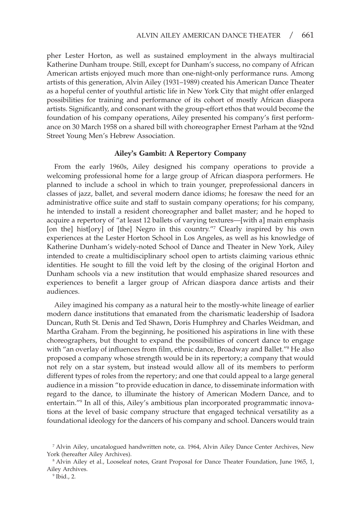pher Lester Horton, as well as sustained employment in the always multiracial Katherine Dunham troupe. Still, except for Dunham's success, no company of African American artists enjoyed much more than one-night-only performance runs. Among artists of this generation, Alvin Ailey (1931–1989) created his American Dance Theater as a hopeful center of youthful artistic life in New York City that might offer enlarged possibilities for training and performance of its cohort of mostly African diaspora artists. Significantly, and consonant with the group-effort ethos that would become the foundation of his company operations, Ailey presented his company's first performance on 30 March 1958 on a shared bill with choreographer Ernest Parham at the 92nd Street Young Men's Hebrew Association.

#### **Ailey's Gambit: A Repertory Company**

From the early 1960s, Ailey designed his company operations to provide a welcoming professional home for a large group of African diaspora performers. He planned to include a school in which to train younger, preprofessional dancers in classes of jazz, ballet, and several modern dance idioms; he foresaw the need for an administrative office suite and staff to sustain company operations; for his company, he intended to install a resident choreographer and ballet master; and he hoped to acquire a repertory of "at least 12 ballets of varying textures—[with a] main emphasis [on the] hist[ory] of [the] Negro in this country."7 Clearly inspired by his own experiences at the Lester Horton School in Los Angeles, as well as his knowledge of Katherine Dunham's widely-noted School of Dance and Theater in New York, Ailey intended to create a multidisciplinary school open to artists claiming various ethnic identities. He sought to fill the void left by the closing of the original Horton and Dunham schools via a new institution that would emphasize shared resources and experiences to benefit a larger group of African diaspora dance artists and their audiences.

Ailey imagined his company as a natural heir to the mostly-white lineage of earlier modern dance institutions that emanated from the charismatic leadership of Isadora Duncan, Ruth St. Denis and Ted Shawn, Doris Humphrey and Charles Weidman, and Martha Graham. From the beginning, he positioned his aspirations in line with these choreographers, but thought to expand the possibilities of concert dance to engage with "an overlay of influences from film, ethnic dance, Broadway and Ballet."8 He also proposed a company whose strength would be in its repertory; a company that would not rely on a star system, but instead would allow all of its members to perform different types of roles from the repertory; and one that could appeal to a large general audience in a mission "to provide education in dance, to disseminate information with regard to the dance, to illuminate the history of American Modern Dance, and to entertain."9 In all of this, Ailey's ambitious plan incorporated programmatic innovations at the level of basic company structure that engaged technical versatility as a foundational ideology for the dancers of his company and school. Dancers would train

<sup>7</sup> Alvin Ailey, uncatalogued handwritten note, ca. 1964, Alvin Ailey Dance Center Archives, New York (hereafter Ailey Archives).

<sup>8</sup> Alvin Ailey et al., Looseleaf notes, Grant Proposal for Dance Theater Foundation, June 1965, 1, Ailey Archives.

<sup>9</sup> Ibid., 2.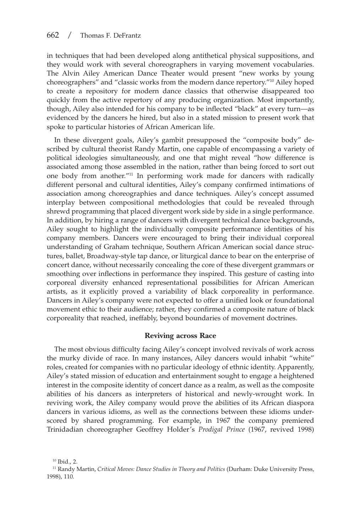in techniques that had been developed along antithetical physical suppositions, and they would work with several choreographers in varying movement vocabularies. The Alvin Ailey American Dance Theater would present "new works by young choreographers" and "classic works from the modern dance repertory."10 Ailey hoped to create a repository for modern dance classics that otherwise disappeared too quickly from the active repertory of any producing organization. Most importantly, though, Ailey also intended for his company to be inflected "black" at every turn—as evidenced by the dancers he hired, but also in a stated mission to present work that spoke to particular histories of African American life.

In these divergent goals, Ailey's gambit presupposed the "composite body" described by cultural theorist Randy Martin, one capable of encompassing a variety of political ideologies simultaneously, and one that might reveal "how difference is associated among those assembled in the nation, rather than being forced to sort out one body from another."11 In performing work made for dancers with radically different personal and cultural identities, Ailey's company confirmed intimations of association among choreographies and dance techniques. Ailey's concept assumed interplay between compositional methodologies that could be revealed through shrewd programming that placed divergent work side by side in a single performance. In addition, by hiring a range of dancers with divergent technical dance backgrounds, Ailey sought to highlight the individually composite performance identities of his company members. Dancers were encouraged to bring their individual corporeal understanding of Graham technique, Southern African American social dance structures, ballet, Broadway-style tap dance, or liturgical dance to bear on the enterprise of concert dance, without necessarily concealing the core of these divergent grammars or smoothing over inflections in performance they inspired. This gesture of casting into corporeal diversity enhanced representational possibilities for African American artists, as it explicitly proved a variability of black corporeality in performance. Dancers in Ailey's company were not expected to offer a unified look or foundational movement ethic to their audience; rather, they confirmed a composite nature of black corporeality that reached, ineffably, beyond boundaries of movement doctrines.

#### **Reviving across Race**

The most obvious difficulty facing Ailey's concept involved revivals of work across the murky divide of race. In many instances, Ailey dancers would inhabit "white" roles, created for companies with no particular ideology of ethnic identity. Apparently, Ailey's stated mission of education and entertainment sought to engage a heightened interest in the composite identity of concert dance as a realm, as well as the composite abilities of his dancers as interpreters of historical and newly-wrought work. In reviving work, the Ailey company would prove the abilities of its African diaspora dancers in various idioms, as well as the connections between these idioms underscored by shared programming. For example, in 1967 the company premiered Trinidadian choreographer Geoffrey Holder's *Prodigal Prince* (1967, revived 1998)

<sup>10</sup> Ibid., 2.

<sup>&</sup>lt;sup>11</sup> Randy Martin, *Critical Moves: Dance Studies in Theory and Politics* (Durham: Duke University Press, 1998), 110.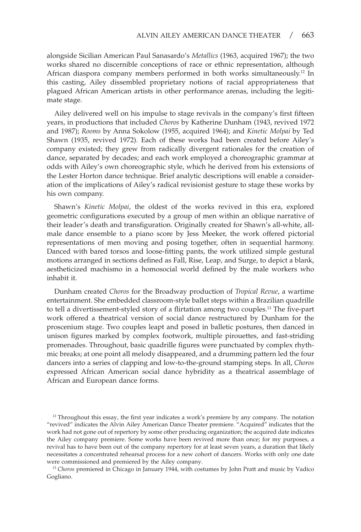alongside Sicilian American Paul Sanasardo's *Metallics* (1963, acquired 1967); the two works shared no discernible conceptions of race or ethnic representation, although African diaspora company members performed in both works simultaneously.12 In this casting, Ailey dissembled proprietary notions of racial appropriateness that plagued African American artists in other performance arenas, including the legitimate stage.

Ailey delivered well on his impulse to stage revivals in the company's first fifteen years, in productions that included *Choros* by Katherine Dunham (1943, revived 1972 and 1987); *Rooms* by Anna Sokolow (1955, acquired 1964); and *Kinetic Molpai* by Ted Shawn (1935, revived 1972). Each of these works had been created before Ailey's company existed; they grew from radically divergent rationales for the creation of dance, separated by decades; and each work employed a choreographic grammar at odds with Ailey's own choreographic style, which he derived from his extensions of the Lester Horton dance technique. Brief analytic descriptions will enable a consideration of the implications of Ailey's radical revisionist gesture to stage these works by his own company.

Shawn's *Kinetic Molpai*, the oldest of the works revived in this era, explored geometric configurations executed by a group of men within an oblique narrative of their leader's death and transfiguration. Originally created for Shawn's all-white, allmale dance ensemble to a piano score by Jess Meeker, the work offered pictorial representations of men moving and posing together, often in sequential harmony. Danced with bared torsos and loose-fitting pants, the work utilized simple gestural motions arranged in sections defined as Fall, Rise, Leap, and Surge, to depict a blank, aestheticized machismo in a homosocial world defined by the male workers who inhabit it.

Dunham created *Choros* for the Broadway production of *Tropical Revue*, a wartime entertainment. She embedded classroom-style ballet steps within a Brazilian quadrille to tell a divertissement-styled story of a flirtation among two couples.<sup>13</sup> The five-part work offered a theatrical version of social dance restructured by Dunham for the proscenium stage. Two couples leapt and posed in balletic postures, then danced in unison figures marked by complex footwork, multiple pirouettes, and fast-striding promenades. Throughout, basic quadrille figures were punctuated by complex rhythmic breaks; at one point all melody disappeared, and a drumming pattern led the four dancers into a series of clapping and low-to-the-ground stamping steps. In all, *Choros* expressed African American social dance hybridity as a theatrical assemblage of African and European dance forms.

<sup>12</sup> Throughout this essay, the first year indicates a work's premiere by any company. The notation "revived" indicates the Alvin Ailey American Dance Theater premiere. "Acquired" indicates that the work had not gone out of repertory by some other producing organization; the acquired date indicates the Ailey company premiere. Some works have been revived more than once; for my purposes, a revival has to have been out of the company repertory for at least seven years, a duration that likely necessitates a concentrated rehearsal process for a new cohort of dancers. Works with only one date were commissioned and premiered by the Ailey company.

<sup>13</sup> Choros premiered in Chicago in January 1944, with costumes by John Pratt and music by Vadico Gogliano.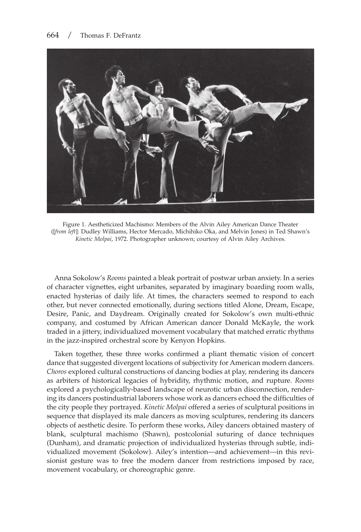

Figure 1. Aestheticized Machismo: Members of the Alvin Ailey American Dance Theater ([*from left*]: Dudley Williams, Hector Mercado, Michihiko Oka, and Melvin Jones) in Ted Shawn's *Kinetic Molpai*, 1972. Photographer unknown; courtesy of Alvin Ailey Archives.

Anna Sokolow's *Rooms* painted a bleak portrait of postwar urban anxiety. In a series of character vignettes, eight urbanites, separated by imaginary boarding room walls, enacted hysterias of daily life. At times, the characters seemed to respond to each other, but never connected emotionally, during sections titled Alone, Dream, Escape, Desire, Panic, and Daydream. Originally created for Sokolow's own multi-ethnic company, and costumed by African American dancer Donald McKayle, the work traded in a jittery, individualized movement vocabulary that matched erratic rhythms in the jazz-inspired orchestral score by Kenyon Hopkins.

Taken together, these three works confirmed a pliant thematic vision of concert dance that suggested divergent locations of subjectivity for American modern dancers. *Choros* explored cultural constructions of dancing bodies at play, rendering its dancers as arbiters of historical legacies of hybridity, rhythmic motion, and rupture. *Rooms* explored a psychologically-based landscape of neurotic urban disconnection, rendering its dancers postindustrial laborers whose work as dancers echoed the difficulties of the city people they portrayed. *Kinetic Molpai* offered a series of sculptural positions in sequence that displayed its male dancers as moving sculptures, rendering its dancers objects of aesthetic desire. To perform these works, Ailey dancers obtained mastery of blank, sculptural machismo (Shawn), postcolonial suturing of dance techniques (Dunham), and dramatic projection of individualized hysterias through subtle, individualized movement (Sokolow). Ailey's intention—and achievement—in this revisionist gesture was to free the modern dancer from restrictions imposed by race, movement vocabulary, or choreographic genre.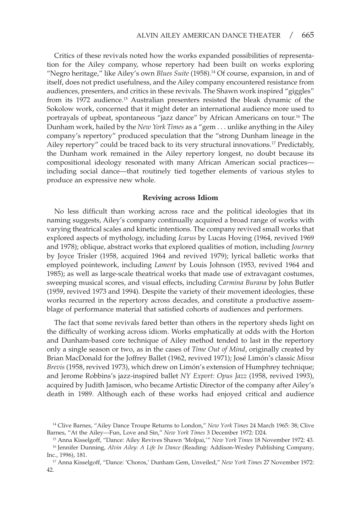Critics of these revivals noted how the works expanded possibilities of representation for the Ailey company, whose repertory had been built on works exploring "Negro heritage," like Ailey's own *Blues Suite* (1958).<sup>14</sup> Of course, expansion, in and of itself, does not predict usefulness, and the Ailey company encountered resistance from audiences, presenters, and critics in these revivals. The Shawn work inspired "giggles" from its 1972 audience.<sup>15</sup> Australian presenters resisted the bleak dynamic of the Sokolow work, concerned that it might deter an international audience more used to portrayals of upbeat, spontaneous "jazz dance" by African Americans on tour.<sup>16</sup> The Dunham work, hailed by the *New York Times* as a "gem . . . unlike anything in the Ailey company's repertory" produced speculation that the "strong Dunham lineage in the Ailey repertory" could be traced back to its very structural innovations.17 Predictably, the Dunham work remained in the Ailey repertory longest, no doubt because its compositional ideology resonated with many African American social practices including social dance—that routinely tied together elements of various styles to produce an expressive new whole.

#### **Reviving across Idiom**

No less difficult than working across race and the political ideologies that its naming suggests, Ailey's company continually acquired a broad range of works with varying theatrical scales and kinetic intentions. The company revived small works that explored aspects of mythology, including *Icarus* by Lucas Hoving (1964, revived 1969 and 1978); oblique, abstract works that explored qualities of motion, including *Journey* by Joyce Trisler (1958, acquired 1964 and revived 1979); lyrical balletic works that employed pointework, including *Lament* by Louis Johnson (1953, revived 1964 and 1985); as well as large-scale theatrical works that made use of extravagant costumes, sweeping musical scores, and visual effects, including *Carmina Burana* by John Butler (1959, revived 1973 and 1994). Despite the variety of their movement ideologies, these works recurred in the repertory across decades, and constitute a productive assemblage of performance material that satisfied cohorts of audiences and performers.

The fact that some revivals fared better than others in the repertory sheds light on the difficulty of working across idiom. Works emphatically at odds with the Horton and Dunham-based core technique of Ailey method tended to last in the repertory only a single season or two, as in the cases of *Time Out of Mind*, originally created by Brian MacDonald for the Joffrey Ballet (1962, revived 1971); José Limón's classic *Missa Brevis* (1958, revived 1973), which drew on Limón's extension of Humphrey technique; and Jerome Robbins's jazz-inspired ballet *NY Export: Opus Jazz* (1958, revived 1993), acquired by Judith Jamison, who became Artistic Director of the company after Ailey's death in 1989. Although each of these works had enjoyed critical and audience

<sup>14</sup> Clive Barnes, "Ailey Dance Troupe Returns to London," *New York Times* 24 March 1965: 38; Clive Barnes, "At the Ailey—Fun, Love and Sin," *New York Times* 3 December 1972: D24.

<sup>15</sup> Anna Kisselgoff, "Dance: Ailey Revives Shawn 'Molpai,'" *New York Times* 18 November 1972: 43. <sup>16</sup> Jennifer Dunning, *Alvin Ailey: A Life In Dance* (Reading: Addison-Wesley Publishing Company, Inc., 1996), 181.

<sup>17</sup> Anna Kisselgoff, "Dance: 'Choros,' Dunham Gem, Unveiled," *New York Times* 27 November 1972: 42.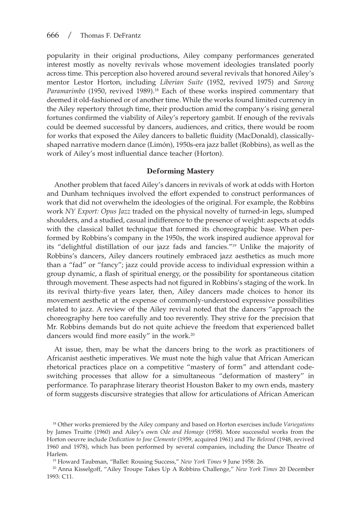popularity in their original productions, Ailey company performances generated interest mostly as novelty revivals whose movement ideologies translated poorly across time. This perception also hovered around several revivals that honored Ailey's mentor Lestor Horton, including *Liberian Suite* (1952, revived 1975) and *Sarong Paramarimbo* (1950, revived 1989).18 Each of these works inspired commentary that deemed it old-fashioned or of another time. While the works found limited currency in the Ailey repertory through time, their production amid the company's rising general fortunes confirmed the viability of Ailey's repertory gambit. If enough of the revivals could be deemed successful by dancers, audiences, and critics, there would be room for works that exposed the Ailey dancers to balletic fluidity (MacDonald), classicallyshaped narrative modern dance (Limón), 1950s-era jazz ballet (Robbins), as well as the work of Ailey's most influential dance teacher (Horton).

#### **Deforming Mastery**

Another problem that faced Ailey's dancers in revivals of work at odds with Horton and Dunham techniques involved the effort expended to construct performances of work that did not overwhelm the ideologies of the original. For example, the Robbins work *NY Export: Opus Jazz* traded on the physical novelty of turned-in legs, slumped shoulders, and a studied, casual indifference to the presence of weight: aspects at odds with the classical ballet technique that formed its choreographic base. When performed by Robbins's company in the 1950s, the work inspired audience approval for its "delightful distillation of our jazz fads and fancies."19 Unlike the majority of Robbins's dancers, Ailey dancers routinely embraced jazz aesthetics as much more than a "fad" or "fancy"; jazz could provide access to individual expression within a group dynamic, a flash of spiritual energy, or the possibility for spontaneous citation through movement. These aspects had not figured in Robbins's staging of the work. In its revival thirty-five years later, then, Ailey dancers made choices to honor its movement aesthetic at the expense of commonly-understood expressive possibilities related to jazz. A review of the Ailey revival noted that the dancers "approach the choreography here too carefully and too reverently. They strive for the precision that Mr. Robbins demands but do not quite achieve the freedom that experienced ballet dancers would find more easily" in the work.<sup>20</sup>

At issue, then, may be what the dancers bring to the work as practitioners of Africanist aesthetic imperatives. We must note the high value that African American rhetorical practices place on a competitive "mastery of form" and attendant codeswitching processes that allow for a simultaneous "deformation of mastery" in performance. To paraphrase literary theorist Houston Baker to my own ends, mastery of form suggests discursive strategies that allow for articulations of African American

<sup>20</sup> Anna Kisselgoff, "Ailey Troupe Takes Up A Robbins Challenge," *New York Times* 20 December 1993: C11.

<sup>18</sup> Other works premiered by the Ailey company and based on Horton exercises include *Variegations* by James Truitte (1960) and Ailey's own *Ode and Homage* (1958). More successful works from the Horton oeuvre include *Dedication to Jose Clemente* (1959, acquired 1961) and *The Beloved* (1948, revived 1960 and 1978), which has been performed by several companies, including the Dance Theatre of Harlem.

<sup>19</sup> Howard Taubman, "Ballet: Rousing Success," *New York Times* 9 June 1958: 26.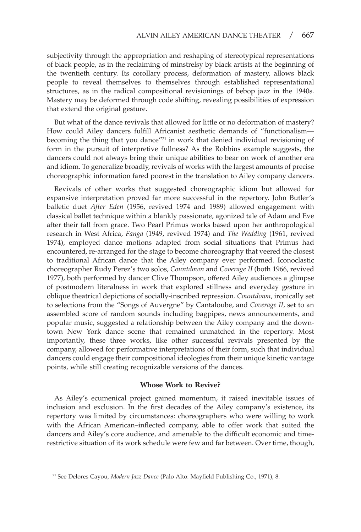subjectivity through the appropriation and reshaping of stereotypical representations of black people, as in the reclaiming of minstrelsy by black artists at the beginning of the twentieth century. Its corollary process, deformation of mastery, allows black people to reveal themselves to themselves through established representational structures, as in the radical compositional revisionings of bebop jazz in the 1940s. Mastery may be deformed through code shifting, revealing possibilities of expression that extend the original gesture.

But what of the dance revivals that allowed for little or no deformation of mastery? How could Ailey dancers fulfill Africanist aesthetic demands of "functionalism becoming the thing that you dance"21 in work that denied individual revisioning of form in the pursuit of interpretive fullness? As the Robbins example suggests, the dancers could not always bring their unique abilities to bear on work of another era and idiom. To generalize broadly, revivals of works with the largest amounts of precise choreographic information fared poorest in the translation to Ailey company dancers.

Revivals of other works that suggested choreographic idiom but allowed for expansive interpretation proved far more successful in the repertory. John Butler's balletic duet *After Eden* (1956, revived 1974 and 1989) allowed engagement with classical ballet technique within a blankly passionate, agonized tale of Adam and Eve after their fall from grace. Two Pearl Primus works based upon her anthropological research in West Africa, *Fanga* (1949, revived 1974) and *The Wedding* (1961, revived 1974), employed dance motions adapted from social situations that Primus had encountered, re-arranged for the stage to become choreography that veered the closest to traditional African dance that the Ailey company ever performed. Iconoclastic choreographer Rudy Perez's two solos, *Countdown* and *Coverage II* (both 1966, revived 1977), both performed by dancer Clive Thompson, offered Ailey audiences a glimpse of postmodern literalness in work that explored stillness and everyday gesture in oblique theatrical depictions of socially-inscribed repression. *Countdown*, ironically set to selections from the "Songs of Auvergne" by Cantaloube, and *Coverage II*, set to an assembled score of random sounds including bagpipes, news announcements, and popular music, suggested a relationship between the Ailey company and the downtown New York dance scene that remained unmatched in the repertory. Most importantly, these three works, like other successful revivals presented by the company, allowed for performative interpretations of their form, such that individual dancers could engage their compositional ideologies from their unique kinetic vantage points, while still creating recognizable versions of the dances.

#### **Whose Work to Revive?**

As Ailey's ecumenical project gained momentum, it raised inevitable issues of inclusion and exclusion. In the first decades of the Ailey company's existence, its repertory was limited by circumstances: choreographers who were willing to work with the African American–inflected company, able to offer work that suited the dancers and Ailey's core audience, and amenable to the difficult economic and timerestrictive situation of its work schedule were few and far between. Over time, though,

<sup>21</sup> See Delores Cayou, *Modern Jazz Dance* (Palo Alto: Mayfield Publishing Co., 1971), 8.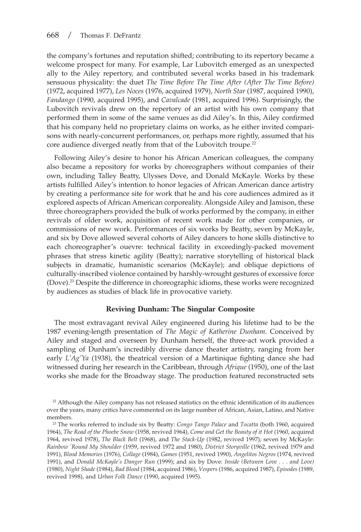the company's fortunes and reputation shifted; contributing to its repertory became a welcome prospect for many. For example, Lar Lubovitch emerged as an unexpected ally to the Ailey repertory, and contributed several works based in his trademark sensuous physicality: the duet *The Time Before The Time After (After The Time Before)* (1972, acquired 1977), *Les Noces* (1976, acquired 1979), *North Star* (1987, acquired 1990), *Fandango* (1990, acquired 1995), and *Cavalcade* (1981, acquired 1996). Surprisingly, the Lubovitch revivals drew on the repertory of an artist with his own company that performed them in some of the same venues as did Ailey's. In this, Ailey confirmed that his company held no proprietary claims on works, as he either invited comparisons with nearly-concurrent performances, or, perhaps more rightly, assumed that his core audience diverged neatly from that of the Lubovitch troupe.<sup>22</sup>

Following Ailey's desire to honor his African American colleagues, the company also became a repository for works by choreographers without companies of their own, including Talley Beatty, Ulysses Dove, and Donald McKayle. Works by these artists fulfilled Ailey's intention to honor legacies of African American dance artistry by creating a performance site for work that he and his core audiences admired as it explored aspects of African American corporeality. Alongside Ailey and Jamison, these three choreographers provided the bulk of works performed by the company, in either revivals of older work, acquisition of recent work made for other companies, or commissions of new work. Performances of six works by Beatty, seven by McKayle, and six by Dove allowed several cohorts of Ailey dancers to hone skills distinctive to each choreographer's ouevre: technical facility in exceedingly-packed movement phrases that stress kinetic agility (Beatty); narrative storytelling of historical black subjects in dramatic, humanistic scenarios (McKayle); and oblique depictions of culturally-inscribed violence contained by harshly-wrought gestures of excessive force (Dove).23 Despite the difference in choreographic idioms, these works were recognized by audiences as studies of black life in provocative variety.

#### **Reviving Dunham: The Singular Composite**

The most extravagant revival Ailey engineered during his lifetime had to be the 1987 evening-length presentation of *The Magic of Katherine Dunham*. Conceived by Ailey and staged and overseen by Dunham herself, the three-act work provided a sampling of Dunham's incredibly diverse dance theater artistry, ranging from her early *L'Ag'Ya* (1938), the theatrical version of a Martinique fighting dance she had witnessed during her research in the Caribbean, through *Afrique* (1950), one of the last works she made for the Broadway stage. The production featured reconstructed sets

<sup>&</sup>lt;sup>22</sup> Although the Ailey company has not released statistics on the ethnic identification of its audiences over the years, many critics have commented on its large number of African, Asian, Latino, and Native members.

<sup>23</sup> The works referred to include six by Beatty: *Congo Tango Palace* and *Tocatta* (both 1960, acquired 1964), *The Road of the Phoebe Snow* (1958, revived 1964), *Come and Get the Beauty of it Hot* (1960, acquired 1964, revived 1978), *The Black Belt* (1968), and *The Stack-Up* (1982, revived 1997); seven by McKayle: *Rainbow 'Round My Shoulder* (1959, revived 1972 and 1980), *District Storyville* (1962, revived 1979 and 1991), *Blood Memories* (1976), *Collage* (1984), *Games* (1951, revived 1990), *Angelitos Negros* (1974, revived 1991), and *Donald McKayle's Danger Run* (1999); and six by Dove: *Inside (Between Love . . . and Love)* (1980), *Night Shade* (1984), *Bad Blood* (1984, acquired 1986), *Vespers* (1986, acquired 1987), *Episodes* (1989, revived 1998), and *Urban Folk Dance* (1990, acquired 1995).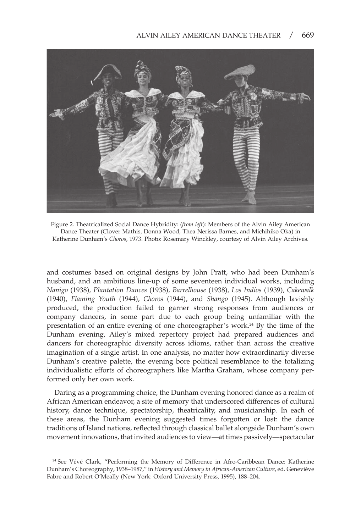

Figure 2. Theatricalized Social Dance Hybridity: (*from left*): Members of the Alvin Ailey American Dance Theater (Clover Mathis, Donna Wood, Thea Nerissa Barnes, and Michihiko Oka) in Katherine Dunham's *Choros*, 1973. Photo: Rosemary Winckley, courtesy of Alvin Ailey Archives.

and costumes based on original designs by John Pratt, who had been Dunham's husband, and an ambitious line-up of some seventeen individual works, including *Nanigo* (1938), *Plantation Dances* (1938), *Barrelhouse* (1938), *Los Indios* (1939), *Cakewalk* (1940), *Flaming Youth* (1944), *Choros* (1944), and *Shango* (1945). Although lavishly produced, the production failed to garner strong responses from audiences or company dancers, in some part due to each group being unfamiliar with the presentation of an entire evening of one choreographer's work.24 By the time of the Dunham evening, Ailey's mixed repertory project had prepared audiences and dancers for choreographic diversity across idioms, rather than across the creative imagination of a single artist. In one analysis, no matter how extraordinarily diverse Dunham's creative palette, the evening bore political resemblance to the totalizing individualistic efforts of choreographers like Martha Graham, whose company performed only her own work.

Daring as a programming choice, the Dunham evening honored dance as a realm of African American endeavor, a site of memory that underscored differences of cultural history, dance technique, spectatorship, theatricality, and musicianship. In each of these areas, the Dunham evening suggested times forgotten or lost: the dance traditions of Island nations, reflected through classical ballet alongside Dunham's own movement innovations, that invited audiences to view—at times passively—spectacular

<sup>&</sup>lt;sup>24</sup> See Vévé Clark, "Performing the Memory of Difference in Afro-Caribbean Dance: Katherine Dunham's Choreography, 1938–1987," in *History and Memory in African-American Culture*, ed. Geneviève Fabre and Robert O'Meally (New York: Oxford University Press, 1995), 188–204.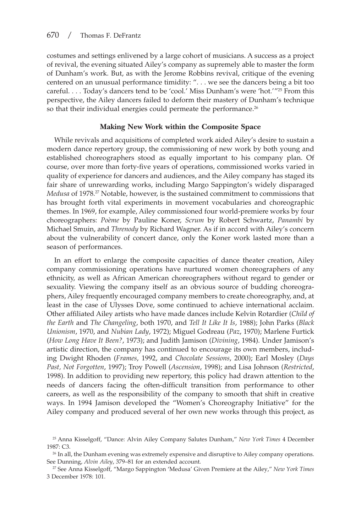costumes and settings enlivened by a large cohort of musicians. A success as a project of revival, the evening situated Ailey's company as supremely able to master the form of Dunham's work. But, as with the Jerome Robbins revival, critique of the evening centered on an unusual performance timidity: ". . . we see the dancers being a bit too careful. . . . Today's dancers tend to be 'cool.' Miss Dunham's were 'hot.'"25 From this perspective, the Ailey dancers failed to deform their mastery of Dunham's technique so that their individual energies could permeate the performance.<sup>26</sup>

#### **Making New Work within the Composite Space**

While revivals and acquisitions of completed work aided Ailey's desire to sustain a modern dance repertory group, the commissioning of new work by both young and established choreographers stood as equally important to his company plan. Of course, over more than forty-five years of operations, commissioned works varied in quality of experience for dancers and audiences, and the Ailey company has staged its fair share of unrewarding works, including Margo Sappington's widely disparaged *Medusa* of 1978.27 Notable, however, is the sustained commitment to commissions that has brought forth vital experiments in movement vocabularies and choreographic themes. In 1969, for example, Ailey commissioned four world-premiere works by four choreographers: *Poème* by Pauline Koner, *Scrum* by Robert Schwartz, *Panambi* by Michael Smuin, and *Threnody* by Richard Wagner. As if in accord with Ailey's concern about the vulnerability of concert dance, only the Koner work lasted more than a season of performances.

In an effort to enlarge the composite capacities of dance theater creation, Ailey company commissioning operations have nurtured women choreographers of any ethnicity, as well as African American choreographers without regard to gender or sexuality. Viewing the company itself as an obvious source of budding choreographers, Ailey frequently encouraged company members to create choreography, and, at least in the case of Ulysses Dove, some continued to achieve international acclaim. Other affiliated Ailey artists who have made dances include Kelvin Rotardier (*Child of the Earth* and *The Changeling*, both 1970, and *Tell It Like It Is*, 1988); John Parks (*Black Unionism*, 1970, and *Nubian Lady*, 1972); Miguel Godreau (*Paz*, 1970); Marlene Furtick (*How Long Have It Been?*, 1973); and Judith Jamison (*Divining*, 1984). Under Jamison's artistic direction, the company has continued to encourage its own members, including Dwight Rhoden (*Frames*, 1992, and *Chocolate Sessions*, 2000); Earl Mosley (*Days Past, Not Forgotten*, 1997); Troy Powell (*Ascension*, 1998); and Lisa Johnson (*Restricted*, 1998). In addition to providing new repertory, this policy had drawn attention to the needs of dancers facing the often-difficult transition from performance to other careers, as well as the responsibility of the company to smooth that shift in creative ways. In 1994 Jamison developed the "Women's Choreography Initiative" for the Ailey company and produced several of her own new works through this project, as

<sup>25</sup> Anna Kisselgoff, "Dance: Alvin Ailey Company Salutes Dunham," *New York Times* 4 December 1987: C3.

<sup>&</sup>lt;sup>26</sup> In all, the Dunham evening was extremely expensive and disruptive to Ailey company operations. See Dunning, *Alvin Ailey*, 379–81 for an extended account.

<sup>27</sup> See Anna Kisselgoff, "Margo Sappington 'Medusa' Given Premiere at the Ailey," *New York Times* 3 December 1978: 101.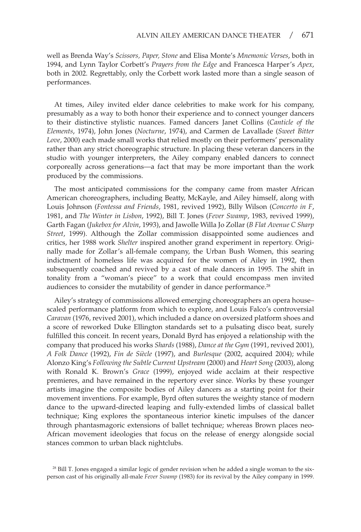well as Brenda Way's *Scissors, Paper, Stone* and Elisa Monte's *Mnemonic Verses*, both in 1994, and Lynn Taylor Corbett's *Prayers from the Edge* and Francesca Harper's *Apex*, both in 2002. Regrettably, only the Corbett work lasted more than a single season of performances.

At times, Ailey invited elder dance celebrities to make work for his company, presumably as a way to both honor their experience and to connect younger dancers to their distinctive stylistic nuances. Famed dancers Janet Collins (*Canticle of the Elements*, 1974), John Jones (*Nocturne*, 1974), and Carmen de Lavallade (*Sweet Bitter Love*, 2000) each made small works that relied mostly on their performers' personality rather than any strict choreographic structure. In placing these veteran dancers in the studio with younger interpreters, the Ailey company enabled dancers to connect corporeally across generations—a fact that may be more important than the work produced by the commissions.

The most anticipated commissions for the company came from master African American choreographers, including Beatty, McKayle, and Ailey himself, along with Louis Johnson (*Fontessa and Friends*, 1981, revived 1992), Billy Wilson (*Concerto in F*, 1981, and *The Winter in Lisbon*, 1992), Bill T. Jones (*Fever Swamp*, 1983, revived 1999), Garth Fagan (*Jukebox for Alvin*, 1993), and Jawolle Willa Jo Zollar (*B Flat Avenue C Sharp Street*, 1999). Although the Zollar commission disappointed some audiences and critics, her 1988 work *Shelter* inspired another grand experiment in repertory. Originally made for Zollar's all-female company, the Urban Bush Women, this searing indictment of homeless life was acquired for the women of Ailey in 1992, then subsequently coached and revived by a cast of male dancers in 1995. The shift in tonality from a "woman's piece" to a work that could encompass men invited audiences to consider the mutability of gender in dance performance.<sup>28</sup>

Ailey's strategy of commissions allowed emerging choreographers an opera house– scaled performance platform from which to explore, and Louis Falco's controversial *Caravan* (1976, revived 2001), which included a dance on oversized platform shoes and a score of reworked Duke Ellington standards set to a pulsating disco beat, surely fulfilled this conceit. In recent years, Donald Byrd has enjoyed a relationship with the company that produced his works *Shards* (1988), *Dance at the Gym* (1991, revived 2001), *A Folk Dance* (1992), *Fin de Siècle* (1997), and *Burlesque* (2002, acquired 2004); while Alonzo King's *Following the Subtle Current Upstream* (2000) and *Heart Song* (2003), along with Ronald K. Brown's *Grace* (1999), enjoyed wide acclaim at their respective premieres, and have remained in the repertory ever since. Works by these younger artists imagine the composite bodies of Ailey dancers as a starting point for their movement inventions. For example, Byrd often sutures the weighty stance of modern dance to the upward-directed leaping and fully-extended limbs of classical ballet technique; King explores the spontaneous interior kinetic impulses of the dancer through phantasmagoric extensions of ballet technique; whereas Brown places neo-African movement ideologies that focus on the release of energy alongside social stances common to urban black nightclubs.

<sup>&</sup>lt;sup>28</sup> Bill T. Jones engaged a similar logic of gender revision when he added a single woman to the sixperson cast of his originally all-male *Fever Swamp* (1983) for its revival by the Ailey company in 1999.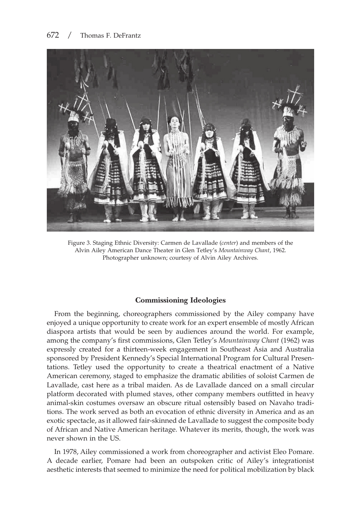

Figure 3. Staging Ethnic Diversity: Carmen de Lavallade (*center*) and members of the Alvin Ailey American Dance Theater in Glen Tetley's *Mountainway Chant*, 1962. Photographer unknown; courtesy of Alvin Ailey Archives.

## **Commissioning Ideologies**

From the beginning, choreographers commissioned by the Ailey company have enjoyed a unique opportunity to create work for an expert ensemble of mostly African diaspora artists that would be seen by audiences around the world. For example, among the company's first commissions, Glen Tetley's *Mountainway Chant* (1962) was expressly created for a thirteen-week engagement in Southeast Asia and Australia sponsored by President Kennedy's Special International Program for Cultural Presentations. Tetley used the opportunity to create a theatrical enactment of a Native American ceremony, staged to emphasize the dramatic abilities of soloist Carmen de Lavallade, cast here as a tribal maiden. As de Lavallade danced on a small circular platform decorated with plumed staves, other company members outfitted in heavy animal-skin costumes oversaw an obscure ritual ostensibly based on Navaho traditions. The work served as both an evocation of ethnic diversity in America and as an exotic spectacle, as it allowed fair-skinned de Lavallade to suggest the composite body of African and Native American heritage. Whatever its merits, though, the work was never shown in the US.

In 1978, Ailey commissioned a work from choreographer and activist Eleo Pomare. A decade earlier, Pomare had been an outspoken critic of Ailey's integrationist aesthetic interests that seemed to minimize the need for political mobilization by black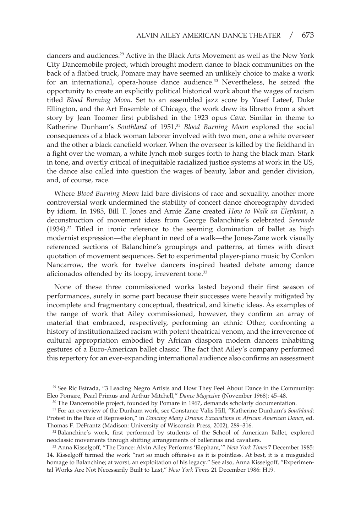dancers and audiences.29 Active in the Black Arts Movement as well as the New York City Dancemobile project, which brought modern dance to black communities on the back of a flatbed truck, Pomare may have seemed an unlikely choice to make a work for an international, opera-house dance audience.<sup>30</sup> Nevertheless, he seized the opportunity to create an explicitly political historical work about the wages of racism titled *Blood Burning Moon*. Set to an assembled jazz score by Yusef Lateef, Duke Ellington, and the Art Ensemble of Chicago, the work drew its libretto from a short story by Jean Toomer first published in the 1923 opus *Cane*. Similar in theme to Katherine Dunham's Southland of 1951,<sup>31</sup> Blood Burning Moon explored the social consequences of a black woman laborer involved with two men, one a white overseer and the other a black canefield worker. When the overseer is killed by the fieldhand in a fight over the woman, a white lynch mob surges forth to hang the black man. Stark in tone, and overtly critical of inequitable racialized justice systems at work in the US, the dance also called into question the wages of beauty, labor and gender division, and, of course, race.

Where *Blood Burning Moon* laid bare divisions of race and sexuality, another more controversial work undermined the stability of concert dance choreography divided by idiom. In 1985, Bill T. Jones and Arnie Zane created *How to Walk an Elephant*, a deconstruction of movement ideas from George Balanchine's celebrated *Serenade*  $(1934).$ <sup>32</sup> Titled in ironic reference to the seeming domination of ballet as high modernist expression—the elephant in need of a walk—the Jones-Zane work visually referenced sections of Balanchine's groupings and patterns, at times with direct quotation of movement sequences. Set to experimental player-piano music by Conlon Nancarrow, the work for twelve dancers inspired heated debate among dance aficionados offended by its loopy, irreverent tone.33

None of these three commissioned works lasted beyond their first season of performances, surely in some part because their successes were heavily mitigated by incomplete and fragmentary conceptual, theatrical, and kinetic ideas. As examples of the range of work that Ailey commissioned, however, they confirm an array of material that embraced, respectively, performing an ethnic Other, confronting a history of institutionalized racism with potent theatrical venom, and the irreverence of cultural appropriation embodied by African diaspora modern dancers inhabiting gestures of a Euro-American ballet classic. The fact that Ailey's company performed this repertory for an ever-expanding international audience also confirms an assessment

<sup>29</sup> See Ric Estrada, "3 Leading Negro Artists and How They Feel About Dance in the Community: Eleo Pomare, Pearl Primus and Arthur Mitchell," *Dance Magazine* (November 1968): 45–48.

<sup>30</sup> The Dancemobile project, founded by Pomare in 1967, demands scholarly documentation.

<sup>31</sup> For an overview of the Dunham work, see Constance Valis Hill, "Katherine Dunham's *Southland*: Protest in the Face of Repression," in *Dancing Many Drums: Excavations in African American Dance*, ed. Thomas F. DeFrantz (Madison: University of Wisconsin Press, 2002), 289–316.

<sup>32</sup> Balanchine's work, first performed by students of the School of American Ballet, explored neoclassic movements through shifting arrangements of ballerinas and cavaliers.

<sup>33</sup> Anna Kisselgoff, "The Dance: Alvin Ailey Performs 'Elephant,'" *New York Times* 7 December 1985: 14. Kisselgoff termed the work "not so much offensive as it is pointless. At best, it is a misguided homage to Balanchine; at worst, an exploitation of his legacy." See also, Anna Kisselgoff, "Experimental Works Are Not Necessarily Built to Last," *New York Times* 21 December 1986: H19.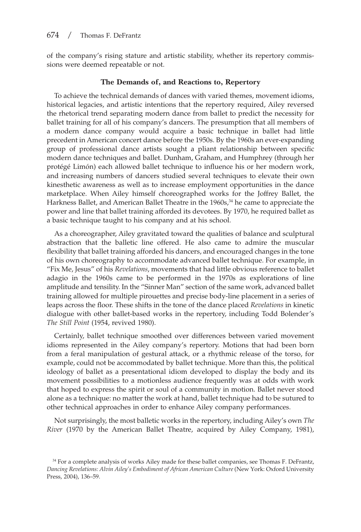of the company's rising stature and artistic stability, whether its repertory commissions were deemed repeatable or not.

#### **The Demands of, and Reactions to, Repertory**

To achieve the technical demands of dances with varied themes, movement idioms, historical legacies, and artistic intentions that the repertory required, Ailey reversed the rhetorical trend separating modern dance from ballet to predict the necessity for ballet training for all of his company's dancers. The presumption that all members of a modern dance company would acquire a basic technique in ballet had little precedent in American concert dance before the 1950s. By the 1960s an ever-expanding group of professional dance artists sought a pliant relationship between specific modern dance techniques and ballet. Dunham, Graham, and Humphrey (through her protégé Limón) each allowed ballet technique to influence his or her modern work, and increasing numbers of dancers studied several techniques to elevate their own kinesthetic awareness as well as to increase employment opportunities in the dance marketplace. When Ailey himself choreographed works for the Joffrey Ballet, the Harkness Ballet, and American Ballet Theatre in the 1960s,<sup>34</sup> he came to appreciate the power and line that ballet training afforded its devotees. By 1970, he required ballet as a basic technique taught to his company and at his school.

As a choreographer, Ailey gravitated toward the qualities of balance and sculptural abstraction that the balletic line offered. He also came to admire the muscular flexibility that ballet training afforded his dancers, and encouraged changes in the tone of his own choreography to accommodate advanced ballet technique. For example, in "Fix Me, Jesus" of his *Revelations*, movements that had little obvious reference to ballet adagio in the 1960s came to be performed in the 1970s as explorations of line amplitude and tensility. In the "Sinner Man" section of the same work, advanced ballet training allowed for multiple pirouettes and precise body-line placement in a series of leaps across the floor. These shifts in the tone of the dance placed *Revelations* in kinetic dialogue with other ballet-based works in the repertory, including Todd Bolender's *The Still Point* (1954, revived 1980).

Certainly, ballet technique smoothed over differences between varied movement idioms represented in the Ailey company's repertory. Motions that had been born from a feral manipulation of gestural attack, or a rhythmic release of the torso, for example, could not be accommodated by ballet technique. More than this, the political ideology of ballet as a presentational idiom developed to display the body and its movement possibilities to a motionless audience frequently was at odds with work that hoped to express the spirit or soul of a community in motion. Ballet never stood alone as a technique: no matter the work at hand, ballet technique had to be sutured to other technical approaches in order to enhance Ailey company performances.

Not surprisingly, the most balletic works in the repertory, including Ailey's own *The River* (1970 by the American Ballet Theatre, acquired by Ailey Company, 1981),

<sup>&</sup>lt;sup>34</sup> For a complete analysis of works Ailey made for these ballet companies, see Thomas F. DeFrantz, *Dancing Revelations: Alvin Ailey's Embodiment of African American Culture* (New York: Oxford University Press, 2004), 136–59.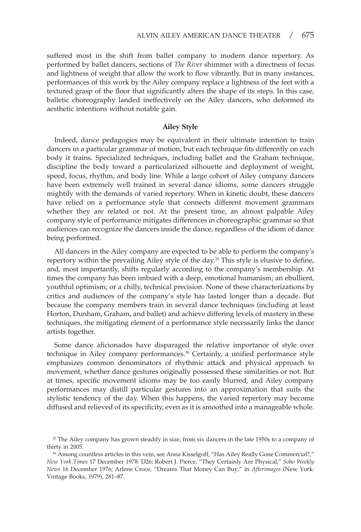suffered most in the shift from ballet company to modern dance repertory. As performed by ballet dancers, sections of *The River* shimmer with a directness of focus and lightness of weight that allow the work to flow vibrantly. But in many instances, performances of this work by the Ailey company replace a lightness of the feet with a textured grasp of the floor that significantly alters the shape of its steps. In this case, balletic choreography landed ineffectively on the Ailey dancers, who deformed its aesthetic intentions without notable gain.

#### **Ailey Style**

Indeed, dance pedagogies may be equivalent in their ultimate intention to train dancers in a particular grammar of motion, but each technique fits differently on each body it trains. Specialized techniques, including ballet and the Graham technique, discipline the body toward a particularized silhouette and deployment of weight, speed, focus, rhythm, and body line. While a large cohort of Ailey company dancers have been extremely well trained in several dance idioms, some dancers struggle mightily with the demands of varied repertory. When in kinetic doubt, these dancers have relied on a performance style that connects different movement grammars whether they are related or not. At the present time, an almost palpable Ailey company style of performance mitigates differences in choreographic grammar so that audiences can recognize the dancers inside the dance, regardless of the idiom of dance being performed.

All dancers in the Ailey company are expected to be able to perform the company's repertory within the prevailing Ailey style of the day.<sup>35</sup> This style is elusive to define, and, most importantly, shifts regularly according to the company's membership. At times the company has been imbued with a deep, emotional humanism; an ebullient, youthful optimism; or a chilly, technical precision. None of these characterizations by critics and audiences of the company's style has lasted longer than a decade. But because the company members train in several dance techniques (including at least Horton, Dunham, Graham, and ballet) and achieve differing levels of mastery in these techniques, the mitigating element of a performance style necessarily links the dance artists together.

Some dance aficionados have disparaged the relative importance of style over technique in Ailey company performances.<sup>36</sup> Certainly, a unified performance style emphasizes common denominators of rhythmic attack and physical approach to movement, whether dance gestures originally possessed these similarities or not. But at times, specific movement idioms may be too easily blurred, and Ailey company performances may distill particular gestures into an approximation that suits the stylistic tendency of the day. When this happens, the varied repertory may become diffused and relieved of its specificity, even as it is smoothed into a manageable whole.

<sup>&</sup>lt;sup>35</sup> The Ailey company has grown steadily in size, from six dancers in the late 1950s to a company of thirty in 2005.

<sup>36</sup> Among countless articles in this vein, see Anna Kisselgoff, "Has Ailey Really Gone Commercial?," *New York Times* 17 December 1978: D26; Robert J. Pierce, "They Certainly Are Physical," *Soho Weekly News* 16 December 1976; Arlene Croce, "Dreams That Money Can Buy," in *Afterimages* (New York: Vintage Books, 1979), 281–87.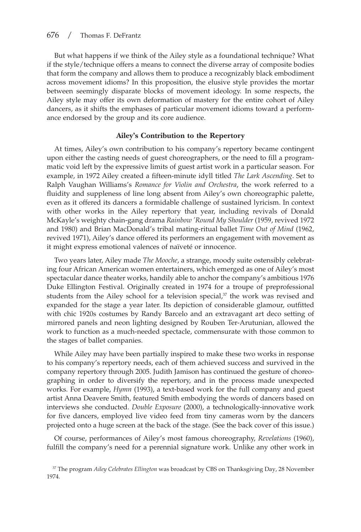But what happens if we think of the Ailey style as a foundational technique? What if the style/technique offers a means to connect the diverse array of composite bodies that form the company and allows them to produce a recognizably black embodiment across movement idioms? In this proposition, the elusive style provides the mortar between seemingly disparate blocks of movement ideology. In some respects, the Ailey style may offer its own deformation of mastery for the entire cohort of Ailey dancers, as it shifts the emphases of particular movement idioms toward a performance endorsed by the group and its core audience.

#### **Ailey's Contribution to the Repertory**

At times, Ailey's own contribution to his company's repertory became contingent upon either the casting needs of guest choreographers, or the need to fill a programmatic void left by the expressive limits of guest artist work in a particular season. For example, in 1972 Ailey created a fifteen-minute idyll titled *The Lark Ascending*. Set to Ralph Vaughan Williams's *Romance for Violin and Orchestra*, the work referred to a fluidity and suppleness of line long absent from Ailey's own choreographic palette, even as it offered its dancers a formidable challenge of sustained lyricism. In context with other works in the Ailey repertory that year, including revivals of Donald McKayle's weighty chain-gang drama *Rainbow 'Round My Shoulder* (1959, revived 1972 and 1980) and Brian MacDonald's tribal mating-ritual ballet *Time Out of Mind* (1962, revived 1971), Ailey's dance offered its performers an engagement with movement as it might express emotional valences of naïveté or innocence.

Two years later, Ailey made *The Mooche*, a strange, moody suite ostensibly celebrating four African American women entertainers, which emerged as one of Ailey's most spectacular dance theater works, handily able to anchor the company's ambitious 1976 Duke Ellington Festival. Originally created in 1974 for a troupe of preprofessional students from the Ailey school for a television special, $37$  the work was revised and expanded for the stage a year later. Its depiction of considerable glamour, outfitted with chic 1920s costumes by Randy Barcelo and an extravagant art deco setting of mirrored panels and neon lighting designed by Rouben Ter-Arutunian, allowed the work to function as a much-needed spectacle, commensurate with those common to the stages of ballet companies.

While Ailey may have been partially inspired to make these two works in response to his company's repertory needs, each of them achieved success and survived in the company repertory through 2005. Judith Jamison has continued the gesture of choreographing in order to diversify the repertory, and in the process made unexpected works. For example, *Hymn* (1993), a text-based work for the full company and guest artist Anna Deavere Smith, featured Smith embodying the words of dancers based on interviews she conducted. *Double Exposure* (2000), a technologically-innovative work for five dancers, employed live video feed from tiny cameras worn by the dancers projected onto a huge screen at the back of the stage. (See the back cover of this issue.)

Of course, performances of Ailey's most famous choreography, *Revelations* (1960), fulfill the company's need for a perennial signature work. Unlike any other work in

<sup>37</sup> The program *Ailey Celebrates Ellington* was broadcast by CBS on Thanksgiving Day, 28 November 1974.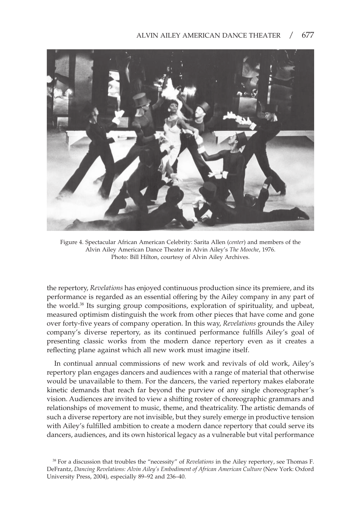

Figure 4. Spectacular African American Celebrity: Sarita Allen (*center*) and members of the Alvin Ailey American Dance Theater in Alvin Ailey's *The Mooche*, 1976. Photo: Bill Hilton, courtesy of Alvin Ailey Archives.

the repertory, *Revelations* has enjoyed continuous production since its premiere, and its performance is regarded as an essential offering by the Ailey company in any part of the world.38 Its surging group compositions, exploration of spirituality, and upbeat, measured optimism distinguish the work from other pieces that have come and gone over forty-five years of company operation. In this way, *Revelations* grounds the Ailey company's diverse repertory, as its continued performance fulfills Ailey's goal of presenting classic works from the modern dance repertory even as it creates a reflecting plane against which all new work must imagine itself.

In continual annual commissions of new work and revivals of old work, Ailey's repertory plan engages dancers and audiences with a range of material that otherwise would be unavailable to them. For the dancers, the varied repertory makes elaborate kinetic demands that reach far beyond the purview of any single choreographer's vision. Audiences are invited to view a shifting roster of choreographic grammars and relationships of movement to music, theme, and theatricality. The artistic demands of such a diverse repertory are not invisible, but they surely emerge in productive tension with Ailey's fulfilled ambition to create a modern dance repertory that could serve its dancers, audiences, and its own historical legacy as a vulnerable but vital performance

<sup>38</sup> For a discussion that troubles the "necessity" of *Revelations* in the Ailey repertory, see Thomas F. DeFrantz, *Dancing Revelations: Alvin Ailey's Embodiment of African American Culture* (New York: Oxford University Press, 2004), especially 89–92 and 236–40.